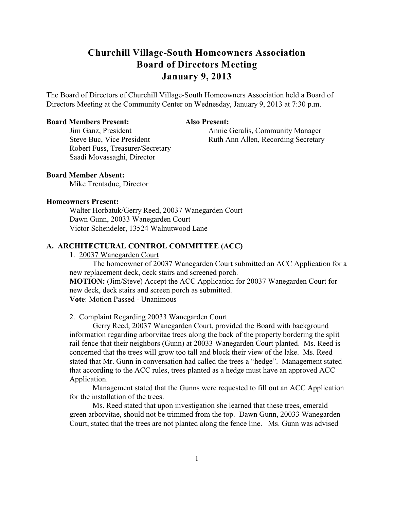The Board of Directors of Churchill Village-South Homeowners Association held a Board of Directors Meeting at the Community Center on Wednesday, January 9, 2013 at 7:30 p.m.

#### **Board Members Present: Also Present:**

Robert Fuss, Treasurer/Secretary Saadi Movassaghi, Director

Jim Ganz, President Annie Geralis, Community Manager Steve Buc, Vice President Ruth Ann Allen, Recording Secretary

## **Board Member Absent:**

Mike Trentadue, Director

#### **Homeowners Present:**

Walter Horbatuk/Gerry Reed, 20037 Wanegarden Court Dawn Gunn, 20033 Wanegarden Court Victor Schendeler, 13524 Walnutwood Lane

#### **A. ARCHITECTURAL CONTROL COMMITTEE (ACC)**

## 1. 20037 Wanegarden Court

The homeowner of 20037 Wanegarden Court submitted an ACC Application for a new replacement deck, deck stairs and screened porch.

**MOTION:** (Jim/Steve) Accept the ACC Application for 20037 Wanegarden Court for new deck, deck stairs and screen porch as submitted. **Vote**: Motion Passed - Unanimous

#### 2. Complaint Regarding 20033 Wanegarden Court

Gerry Reed, 20037 Wanegarden Court, provided the Board with background information regarding arborvitae trees along the back of the property bordering the split rail fence that their neighbors (Gunn) at 20033 Wanegarden Court planted. Ms. Reed is concerned that the trees will grow too tall and block their view of the lake. Ms. Reed stated that Mr. Gunn in conversation had called the trees a "hedge". Management stated that according to the ACC rules, trees planted as a hedge must have an approved ACC Application.

Management stated that the Gunns were requested to fill out an ACC Application for the installation of the trees.

Ms. Reed stated that upon investigation she learned that these trees, emerald green arborvitae, should not be trimmed from the top. Dawn Gunn, 20033 Wanegarden Court, stated that the trees are not planted along the fence line. Ms. Gunn was advised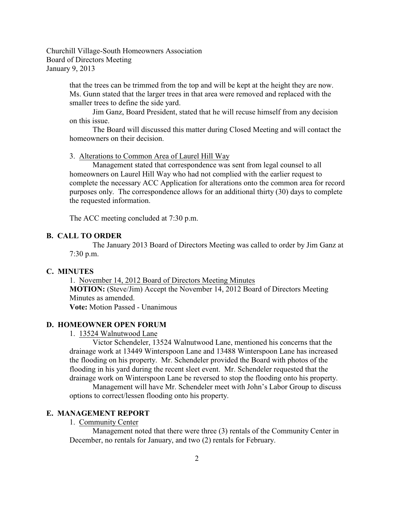> that the trees can be trimmed from the top and will be kept at the height they are now. Ms. Gunn stated that the larger trees in that area were removed and replaced with the smaller trees to define the side yard.

Jim Ganz, Board President, stated that he will recuse himself from any decision on this issue.

The Board will discussed this matter during Closed Meeting and will contact the homeowners on their decision.

3. Alterations to Common Area of Laurel Hill Way

Management stated that correspondence was sent from legal counsel to all homeowners on Laurel Hill Way who had not complied with the earlier request to complete the necessary ACC Application for alterations onto the common area for record purposes only. The correspondence allows for an additional thirty (30) days to complete the requested information.

The ACC meeting concluded at 7:30 p.m.

## **B. CALL TO ORDER**

The January 2013 Board of Directors Meeting was called to order by Jim Ganz at 7:30 p.m.

#### **C. MINUTES**

1. November 14, 2012 Board of Directors Meeting Minutes **MOTION:** (Steve/Jim) Accept the November 14, 2012 Board of Directors Meeting Minutes as amended. **Vote:** Motion Passed - Unanimous

#### **D. HOMEOWNER OPEN FORUM**

1. 13524 Walnutwood Lane

Victor Schendeler, 13524 Walnutwood Lane, mentioned his concerns that the drainage work at 13449 Winterspoon Lane and 13488 Winterspoon Lane has increased the flooding on his property. Mr. Schendeler provided the Board with photos of the flooding in his yard during the recent sleet event. Mr. Schendeler requested that the drainage work on Winterspoon Lane be reversed to stop the flooding onto his property.

Management will have Mr. Schendeler meet with John's Labor Group to discuss options to correct/lessen flooding onto his property.

## **E. MANAGEMENT REPORT**

## 1. Community Center

Management noted that there were three (3) rentals of the Community Center in December, no rentals for January, and two (2) rentals for February.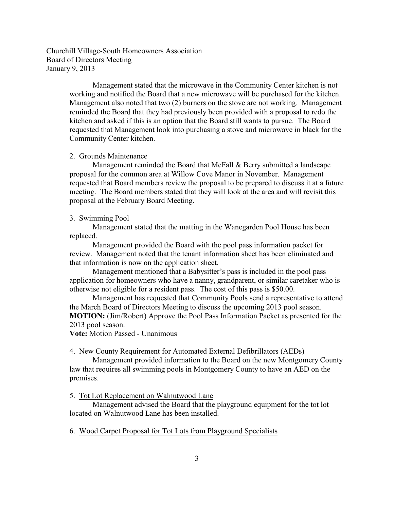> Management stated that the microwave in the Community Center kitchen is not working and notified the Board that a new microwave will be purchased for the kitchen. Management also noted that two (2) burners on the stove are not working. Management reminded the Board that they had previously been provided with a proposal to redo the kitchen and asked if this is an option that the Board still wants to pursue. The Board requested that Management look into purchasing a stove and microwave in black for the Community Center kitchen.

#### 2. Grounds Maintenance

Management reminded the Board that McFall & Berry submitted a landscape proposal for the common area at Willow Cove Manor in November. Management requested that Board members review the proposal to be prepared to discuss it at a future meeting. The Board members stated that they will look at the area and will revisit this proposal at the February Board Meeting.

#### 3. Swimming Pool

Management stated that the matting in the Wanegarden Pool House has been replaced.

Management provided the Board with the pool pass information packet for review. Management noted that the tenant information sheet has been eliminated and that information is now on the application sheet.

Management mentioned that a Babysitter's pass is included in the pool pass application for homeowners who have a nanny, grandparent, or similar caretaker who is otherwise not eligible for a resident pass. The cost of this pass is \$50.00.

Management has requested that Community Pools send a representative to attend the March Board of Directors Meeting to discuss the upcoming 2013 pool season. **MOTION:** (Jim/Robert) Approve the Pool Pass Information Packet as presented for the 2013 pool season.

**Vote:** Motion Passed - Unanimous

#### 4. New County Requirement for Automated External Defibrillators (AEDs)

Management provided information to the Board on the new Montgomery County law that requires all swimming pools in Montgomery County to have an AED on the premises.

#### 5. Tot Lot Replacement on Walnutwood Lane

Management advised the Board that the playground equipment for the tot lot located on Walnutwood Lane has been installed.

## 6. Wood Carpet Proposal for Tot Lots from Playground Specialists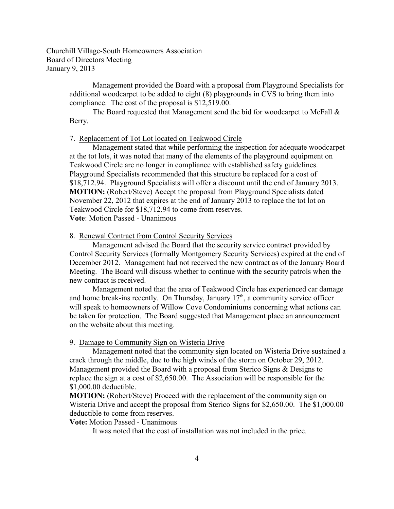> Management provided the Board with a proposal from Playground Specialists for additional woodcarpet to be added to eight (8) playgrounds in CVS to bring them into compliance. The cost of the proposal is \$12,519.00.

The Board requested that Management send the bid for woodcarpet to McFall  $\&$ Berry.

#### 7. Replacement of Tot Lot located on Teakwood Circle

Management stated that while performing the inspection for adequate woodcarpet at the tot lots, it was noted that many of the elements of the playground equipment on Teakwood Circle are no longer in compliance with established safety guidelines. Playground Specialists recommended that this structure be replaced for a cost of \$18,712.94. Playground Specialists will offer a discount until the end of January 2013. **MOTION:** (Robert/Steve) Accept the proposal from Playground Specialists dated November 22, 2012 that expires at the end of January 2013 to replace the tot lot on Teakwood Circle for \$18,712.94 to come from reserves. **Vote**: Motion Passed - Unanimous

#### 8. Renewal Contract from Control Security Services

Management advised the Board that the security service contract provided by Control Security Services (formally Montgomery Security Services) expired at the end of December 2012. Management had not received the new contract as of the January Board Meeting. The Board will discuss whether to continue with the security patrols when the new contract is received.

Management noted that the area of Teakwood Circle has experienced car damage and home break-ins recently. On Thursday, January  $17<sup>th</sup>$ , a community service officer will speak to homeowners of Willow Cove Condominiums concerning what actions can be taken for protection. The Board suggested that Management place an announcement on the website about this meeting.

#### 9. Damage to Community Sign on Wisteria Drive

Management noted that the community sign located on Wisteria Drive sustained a crack through the middle, due to the high winds of the storm on October 29, 2012. Management provided the Board with a proposal from Sterico Signs & Designs to replace the sign at a cost of \$2,650.00. The Association will be responsible for the \$1,000.00 deductible.

**MOTION:** (Robert/Steve) Proceed with the replacement of the community sign on Wisteria Drive and accept the proposal from Sterico Signs for \$2,650.00. The \$1,000.00 deductible to come from reserves.

**Vote:** Motion Passed - Unanimous

It was noted that the cost of installation was not included in the price.